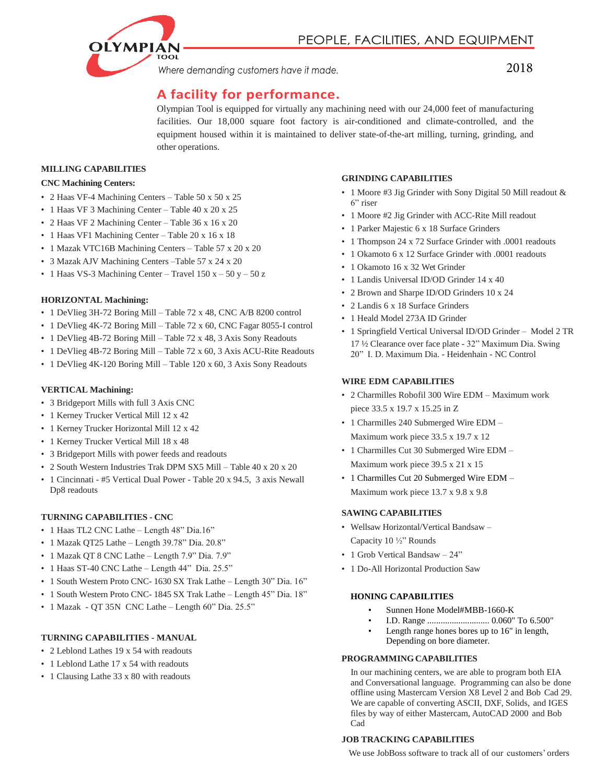Where demanding customers have it made.

## 2018

# **A facility for performance.**

Olympian Tool is equipped for virtually any machining need with our 24,000 feet of manufacturing facilities. Our 18,000 square foot factory is air-conditioned and climate-controlled, and the equipment housed within it is maintained to deliver state-of-the-art milling, turning, grinding, and other operations.

## **MILLING CAPABILITIES**

### **CNC Machining Centers:**

- 2 Haas VF-4 Machining Centers Table 50 x 50 x 25
- 1 Haas VF 3 Machining Center Table 40 x 20 x 25
- 2 Haas VF 2 Machining Center Table 36 x 16 x 20
- 1 Haas VF1 Machining Center Table 20 x 16 x 18
- 1 Mazak VTC16B Machining Centers Table 57 x 20 x 20
- 3 Mazak AJV Machining Centers –Table 57 x 24 x 20
- 1 Haas VS-3 Machining Center Travel  $150x 50y 50z$

## **HORIZONTAL Machining:**

- 1 DeVlieg 3H-72 Boring Mill Table 72 x 48, CNC A/B 8200 control
- 1 DeVlieg 4K-72 Boring Mill Table 72 x 60, CNC Fagar 8055-I control
- 1 DeVlieg 4B-72 Boring Mill Table 72 x 48, 3 Axis Sony Readouts
- 1 DeVlieg 4B-72 Boring Mill Table 72 x 60, 3 Axis ACU-Rite Readouts
- 1 DeVlieg 4K-120 Boring Mill Table 120 x 60, 3 Axis Sony Readouts

## **VERTICAL Machining:**

- 3 Bridgeport Mills with full 3 Axis CNC
- 1 Kerney Trucker Vertical Mill 12 x 42
- 1 Kerney Trucker Horizontal Mill 12 x 42
- 1 Kerney Trucker Vertical Mill 18 x 48
- 3 Bridgeport Mills with power feeds and readouts
- 2 South Western Industries Trak DPM SX5 Mill Table 40 x 20 x 20
- 1 Cincinnati #5 Vertical Dual Power Table 20 x 94.5, 3 axis Newall Dp8 readouts

## **TURNING CAPABILITIES - CNC**

- 1 Haas TL2 CNC Lathe Length 48" Dia.16"
- 1 Mazak QT25 Lathe Length 39.78" Dia. 20.8"
- 1 Mazak QT 8 CNC Lathe Length 7.9" Dia. 7.9"
- 1 Haas ST-40 CNC Lathe Length 44" Dia. 25.5"
- 1 South Western Proto CNC- 1630 SX Trak Lathe Length 30" Dia. 16"
- 1 South Western Proto CNC- 1845 SX Trak Lathe Length 45" Dia. 18"
- 1 Mazak QT 35N CNC Lathe Length 60" Dia. 25.5"

## **TURNING CAPABILITIES - MANUAL**

- 2 Leblond Lathes 19 x 54 with readouts
- 1 Leblond Lathe 17 x 54 with readouts
- 1 Clausing Lathe 33 x 80 with readouts

## **GRINDING CAPABILITIES**

- 1 Moore #3 Jig Grinder with Sony Digital 50 Mill readout & 6" riser
- 1 Moore #2 Jig Grinder with ACC-Rite Mill readout
- 1 Parker Majestic 6 x 18 Surface Grinders
- 1 Thompson 24 x 72 Surface Grinder with .0001 readouts
- 1 Okamoto 6 x 12 Surface Grinder with .0001 readouts
- 1 Okamoto 16 x 32 Wet Grinder
- 1 Landis Universal ID/OD Grinder 14 x 40
- 2 Brown and Sharpe ID/OD Grinders 10 x 24
- 2 Landis 6 x 18 Surface Grinders
- 1 Heald Model 273A ID Grinder
- 1 Springfield Vertical Universal ID/OD Grinder Model 2 TR 17 ½ Clearance over face plate - 32" Maximum Dia. Swing 20" I. D. Maximum Dia. - Heidenhain - NC Control

#### **WIRE EDM CAPABILITIES**

- 2 Charmilles Robofil 300 Wire EDM Maximum work piece 33.5 x 19.7 x 15.25 in Z
- 1 Charmilles 240 Submerged Wire EDM Maximum work piece 33.5 x 19.7 x 12
- 1 Charmilles Cut 30 Submerged Wire EDM Maximum work piece 39.5 x 21 x 15
- 1 Charmilles Cut 20 Submerged Wire EDM Maximum work piece 13.7 x 9.8 x 9.8

#### **SAWING CAPABILITIES**

- Wellsaw Horizontal/Vertical Bandsaw Capacity 10 ½" Rounds
- 1 Grob Vertical Bandsaw 24"
- 1 Do-All Horizontal Production Saw

#### **HONING CAPABILITIES**

- Sunnen Hone Model#MBB-1660-K
- I.D. Range ............................ 0.060" To 6.500"
- Length range hones bores up to 16" in length, Depending on bore diameter.

#### **PROGRAMMINGCAPABILITIES**

 In our machining centers, we are able to program both EIA and Conversational language. Programming can also be done offline using Mastercam Version X8 Level 2 and Bob Cad 29. We are capable of converting ASCII, DXF, Solids, and IGES files by way of either Mastercam, AutoCAD 2000 and Bob Cad

#### **JOB TRACKING CAPABILITIES**

We use JobBoss software to track all of our customers' orders